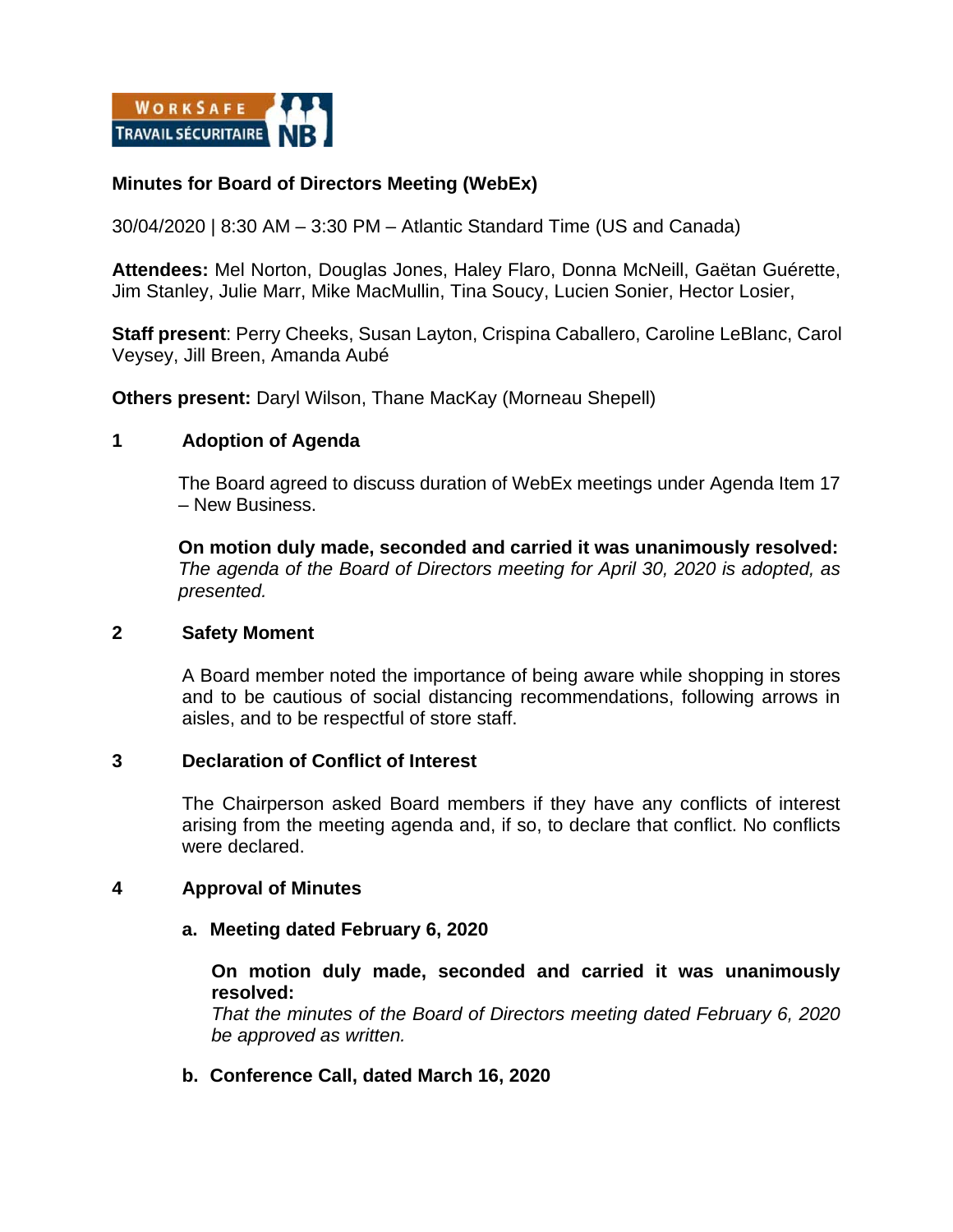

# **Minutes for Board of Directors Meeting (WebEx)**

30/04/2020 | 8:30 AM – 3:30 PM – Atlantic Standard Time (US and Canada)

**Attendees:** Mel Norton, Douglas Jones, Haley Flaro, Donna McNeill, Gaëtan Guérette, Jim Stanley, Julie Marr, Mike MacMullin, Tina Soucy, Lucien Sonier, Hector Losier,

**Staff present**: Perry Cheeks, Susan Layton, Crispina Caballero, Caroline LeBlanc, Carol Veysey, Jill Breen, Amanda Aubé

**Others present:** Daryl Wilson, Thane MacKay (Morneau Shepell)

# **1 Adoption of Agenda**

The Board agreed to discuss duration of WebEx meetings under Agenda Item 17 – New Business.

**On motion duly made, seconded and carried it was unanimously resolved:**  *The agenda of the Board of Directors meeting for April 30, 2020 is adopted, as presented.*

### **2 Safety Moment**

A Board member noted the importance of being aware while shopping in stores and to be cautious of social distancing recommendations, following arrows in aisles, and to be respectful of store staff.

### **3 Declaration of Conflict of Interest**

The Chairperson asked Board members if they have any conflicts of interest arising from the meeting agenda and, if so, to declare that conflict. No conflicts were declared.

### **4 Approval of Minutes**

### **a. Meeting dated February 6, 2020**

**On motion duly made, seconded and carried it was unanimously resolved:** 

*That the minutes of the Board of Directors meeting dated February 6, 2020 be approved as written.* 

### **b. Conference Call, dated March 16, 2020**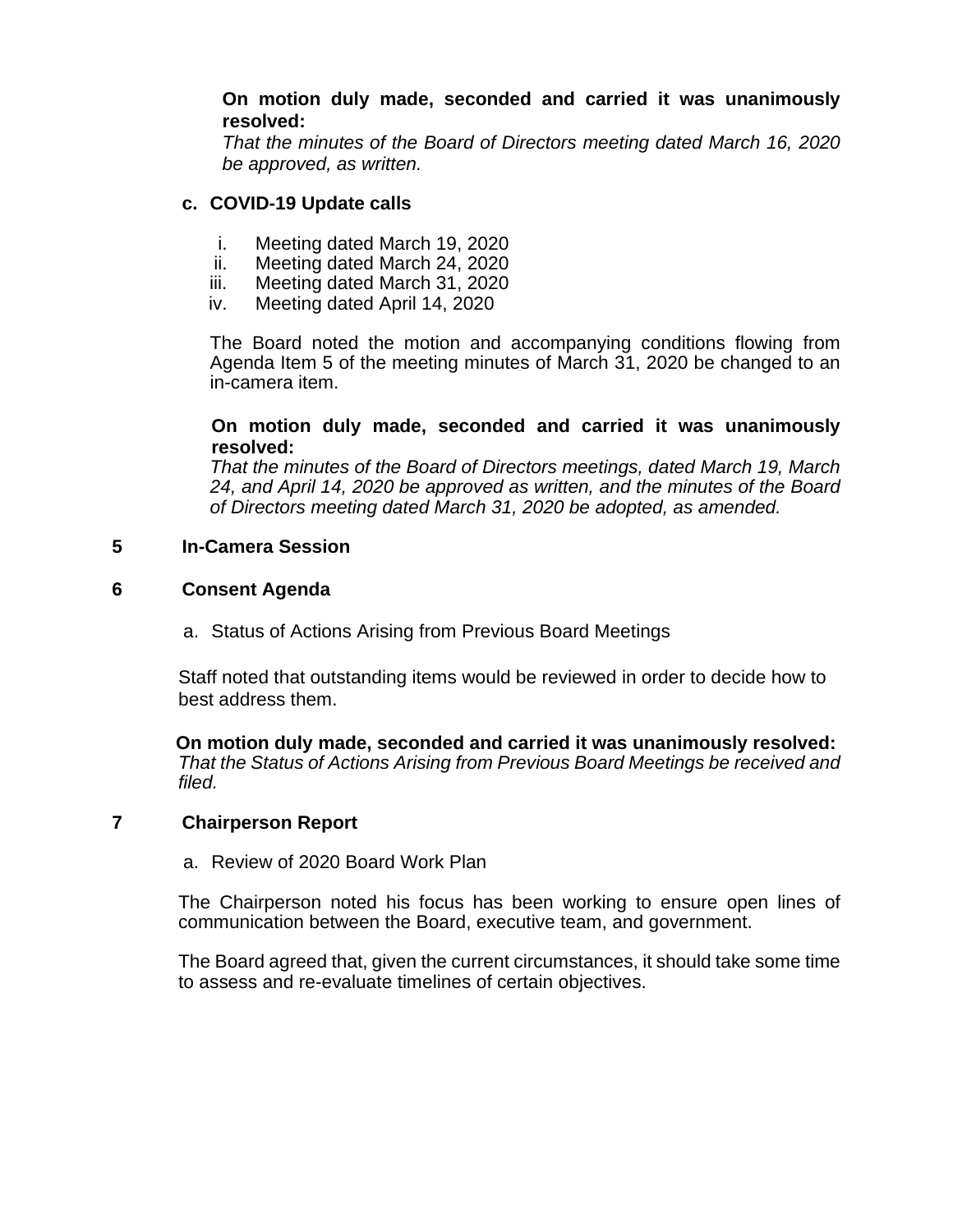# **On motion duly made, seconded and carried it was unanimously resolved:**

*That the minutes of the Board of Directors meeting dated March 16, 2020 be approved, as written.* 

# **c. COVID-19 Update calls**

- i. Meeting dated March 19, 2020
- ii. Meeting dated March 24, 2020<br>iii. Meeting dated March 31, 2020
- Meeting dated March 31, 2020
- iv. Meeting dated April 14, 2020

The Board noted the motion and accompanying conditions flowing from Agenda Item 5 of the meeting minutes of March 31, 2020 be changed to an in-camera item.

# **On motion duly made, seconded and carried it was unanimously resolved:**

*That the minutes of the Board of Directors meetings, dated March 19, March 24, and April 14, 2020 be approved as written, and the minutes of the Board of Directors meeting dated March 31, 2020 be adopted, as amended.*

# **5 In-Camera Session**

# **6 Consent Agenda**

a. Status of Actions Arising from Previous Board Meetings

Staff noted that outstanding items would be reviewed in order to decide how to best address them.

**On motion duly made, seconded and carried it was unanimously resolved:** *That the Status of Actions Arising from Previous Board Meetings be received and filed.*

# **7 Chairperson Report**

a. Review of 2020 Board Work Plan

The Chairperson noted his focus has been working to ensure open lines of communication between the Board, executive team, and government.

The Board agreed that, given the current circumstances, it should take some time to assess and re-evaluate timelines of certain objectives.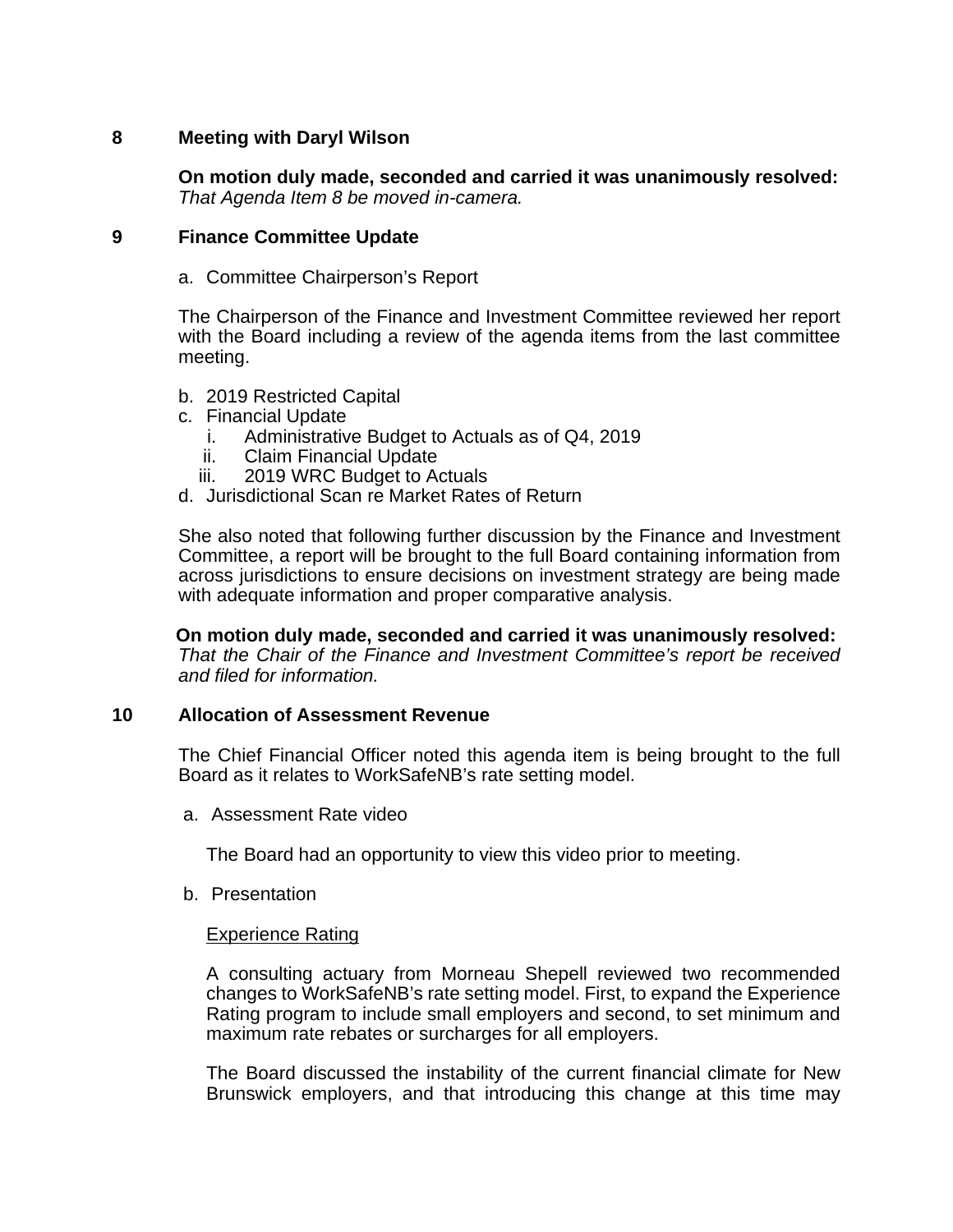# **8 Meeting with Daryl Wilson**

**On motion duly made, seconded and carried it was unanimously resolved:** *That Agenda Item 8 be moved in-camera.*

# **9 Finance Committee Update**

a. Committee Chairperson's Report

The Chairperson of the Finance and Investment Committee reviewed her report with the Board including a review of the agenda items from the last committee meeting.

- b. 2019 Restricted Capital
- c. Financial Update
	- i. Administrative Budget to Actuals as of Q4, 2019
	- ii. Claim Financial Update
	- iii. 2019 WRC Budget to Actuals
- d. Jurisdictional Scan re Market Rates of Return

She also noted that following further discussion by the Finance and Investment Committee, a report will be brought to the full Board containing information from across jurisdictions to ensure decisions on investment strategy are being made with adequate information and proper comparative analysis.

**On motion duly made, seconded and carried it was unanimously resolved:** *That the Chair of the Finance and Investment Committee's report be received and filed for information.*

### **10 Allocation of Assessment Revenue**

The Chief Financial Officer noted this agenda item is being brought to the full Board as it relates to WorkSafeNB's rate setting model.

a. Assessment Rate video

The Board had an opportunity to view this video prior to meeting.

b. Presentation

### Experience Rating

A consulting actuary from Morneau Shepell reviewed two recommended changes to WorkSafeNB's rate setting model. First, to expand the Experience Rating program to include small employers and second, to set minimum and maximum rate rebates or surcharges for all employers.

The Board discussed the instability of the current financial climate for New Brunswick employers, and that introducing this change at this time may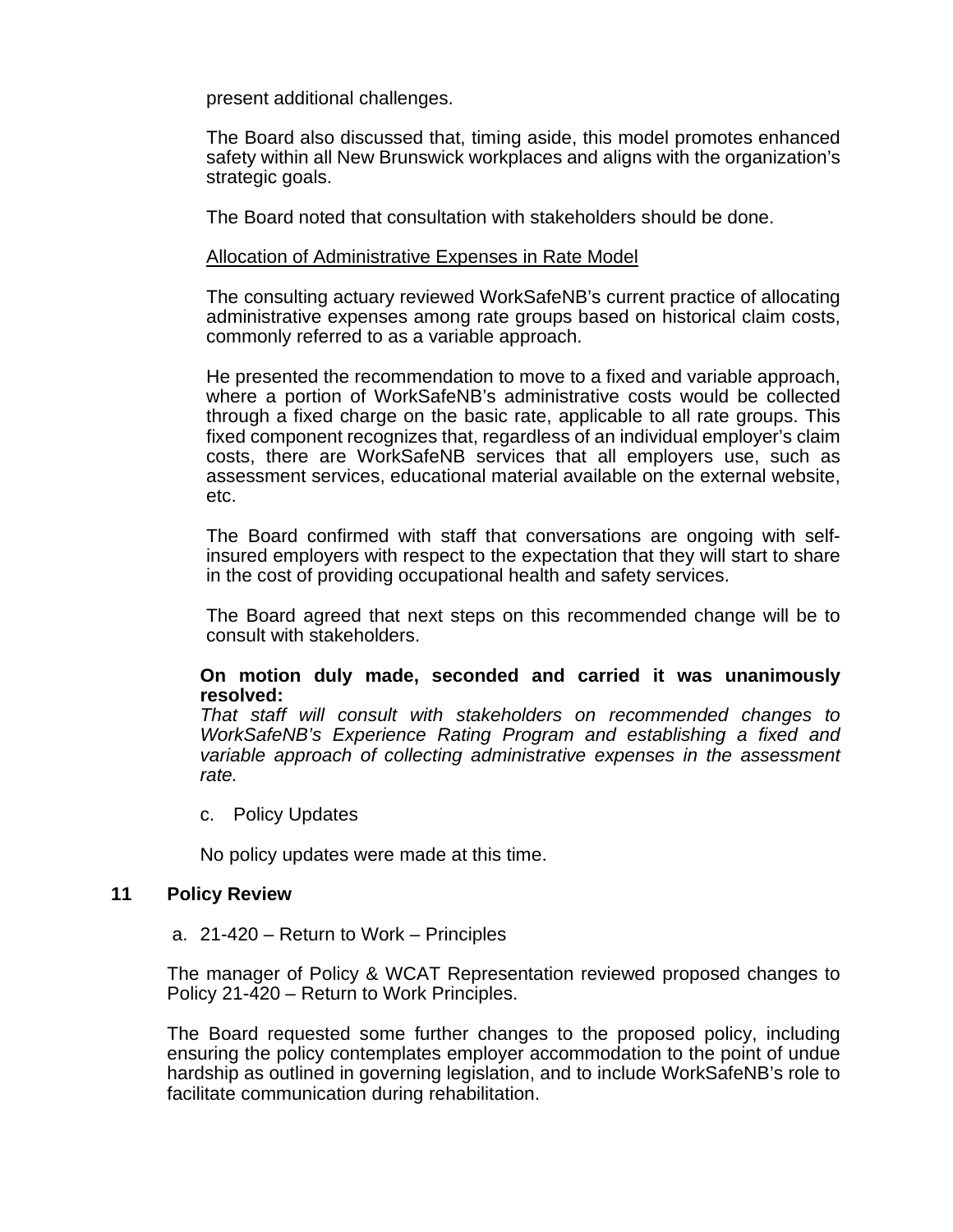present additional challenges.

The Board also discussed that, timing aside, this model promotes enhanced safety within all New Brunswick workplaces and aligns with the organization's strategic goals.

The Board noted that consultation with stakeholders should be done.

#### Allocation of Administrative Expenses in Rate Model

The consulting actuary reviewed WorkSafeNB's current practice of allocating administrative expenses among rate groups based on historical claim costs, commonly referred to as a variable approach.

He presented the recommendation to move to a fixed and variable approach, where a portion of WorkSafeNB's administrative costs would be collected through a fixed charge on the basic rate, applicable to all rate groups. This fixed component recognizes that, regardless of an individual employer's claim costs, there are WorkSafeNB services that all employers use, such as assessment services, educational material available on the external website, etc.

The Board confirmed with staff that conversations are ongoing with selfinsured employers with respect to the expectation that they will start to share in the cost of providing occupational health and safety services.

The Board agreed that next steps on this recommended change will be to consult with stakeholders.

### **On motion duly made, seconded and carried it was unanimously resolved:**

*That staff will consult with stakeholders on recommended changes to WorkSafeNB's Experience Rating Program and establishing a fixed and variable approach of collecting administrative expenses in the assessment rate.*

c. Policy Updates

No policy updates were made at this time.

#### **11 Policy Review**

a. 21-420 – Return to Work – Principles

The manager of Policy & WCAT Representation reviewed proposed changes to Policy 21-420 – Return to Work Principles.

The Board requested some further changes to the proposed policy, including ensuring the policy contemplates employer accommodation to the point of undue hardship as outlined in governing legislation, and to include WorkSafeNB's role to facilitate communication during rehabilitation.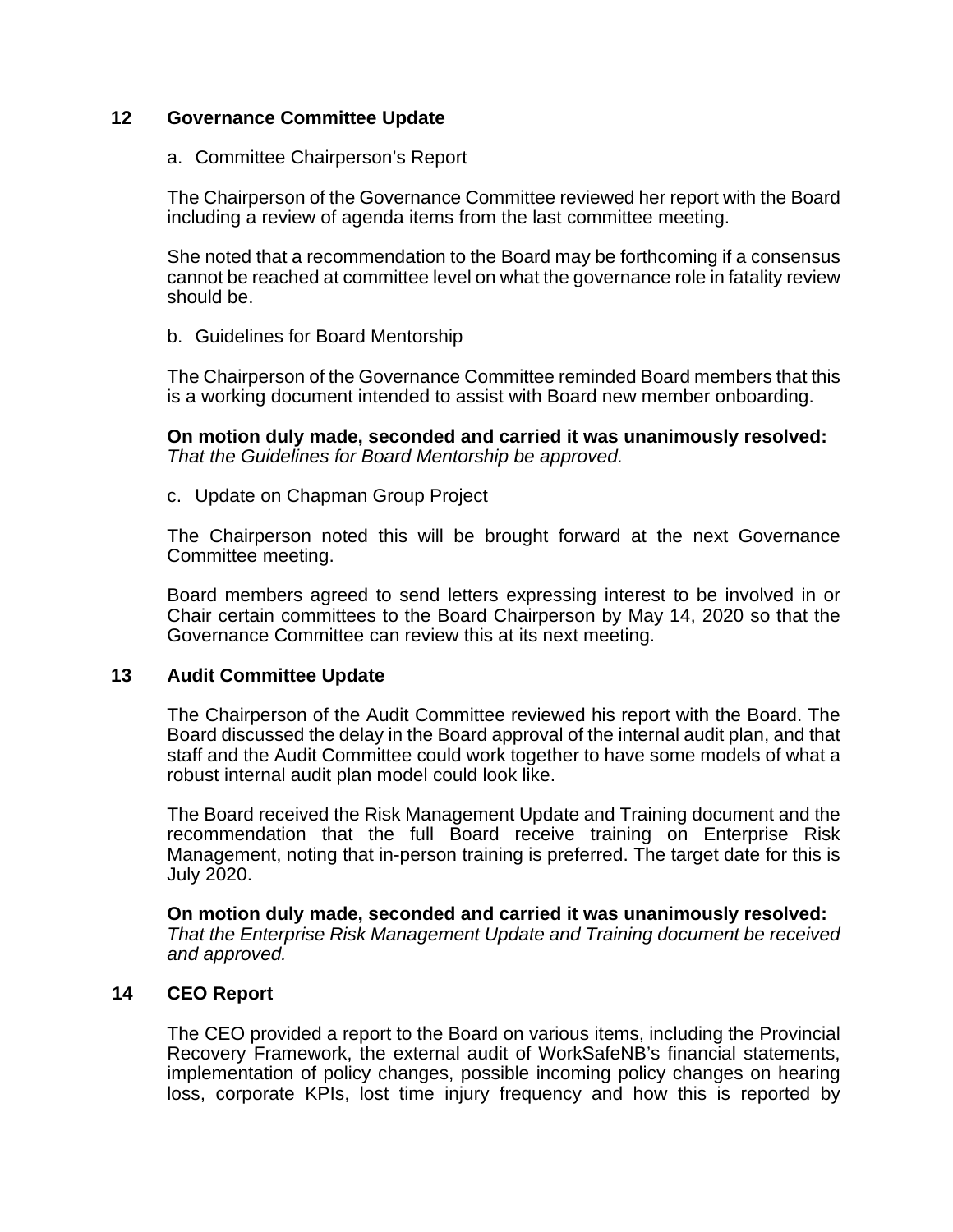# **12 Governance Committee Update**

### a. Committee Chairperson's Report

The Chairperson of the Governance Committee reviewed her report with the Board including a review of agenda items from the last committee meeting.

She noted that a recommendation to the Board may be forthcoming if a consensus cannot be reached at committee level on what the governance role in fatality review should be.

# b. Guidelines for Board Mentorship

The Chairperson of the Governance Committee reminded Board members that this is a working document intended to assist with Board new member onboarding.

**On motion duly made, seconded and carried it was unanimously resolved:** *That the Guidelines for Board Mentorship be approved.*

c. Update on Chapman Group Project

The Chairperson noted this will be brought forward at the next Governance Committee meeting.

Board members agreed to send letters expressing interest to be involved in or Chair certain committees to the Board Chairperson by May 14, 2020 so that the Governance Committee can review this at its next meeting.

# **13 Audit Committee Update**

The Chairperson of the Audit Committee reviewed his report with the Board. The Board discussed the delay in the Board approval of the internal audit plan, and that staff and the Audit Committee could work together to have some models of what a robust internal audit plan model could look like.

The Board received the Risk Management Update and Training document and the recommendation that the full Board receive training on Enterprise Risk Management, noting that in-person training is preferred. The target date for this is July 2020.

**On motion duly made, seconded and carried it was unanimously resolved:** *That the Enterprise Risk Management Update and Training document be received and approved.*

# **14 CEO Report**

The CEO provided a report to the Board on various items, including the Provincial Recovery Framework, the external audit of WorkSafeNB's financial statements, implementation of policy changes, possible incoming policy changes on hearing loss, corporate KPIs, lost time injury frequency and how this is reported by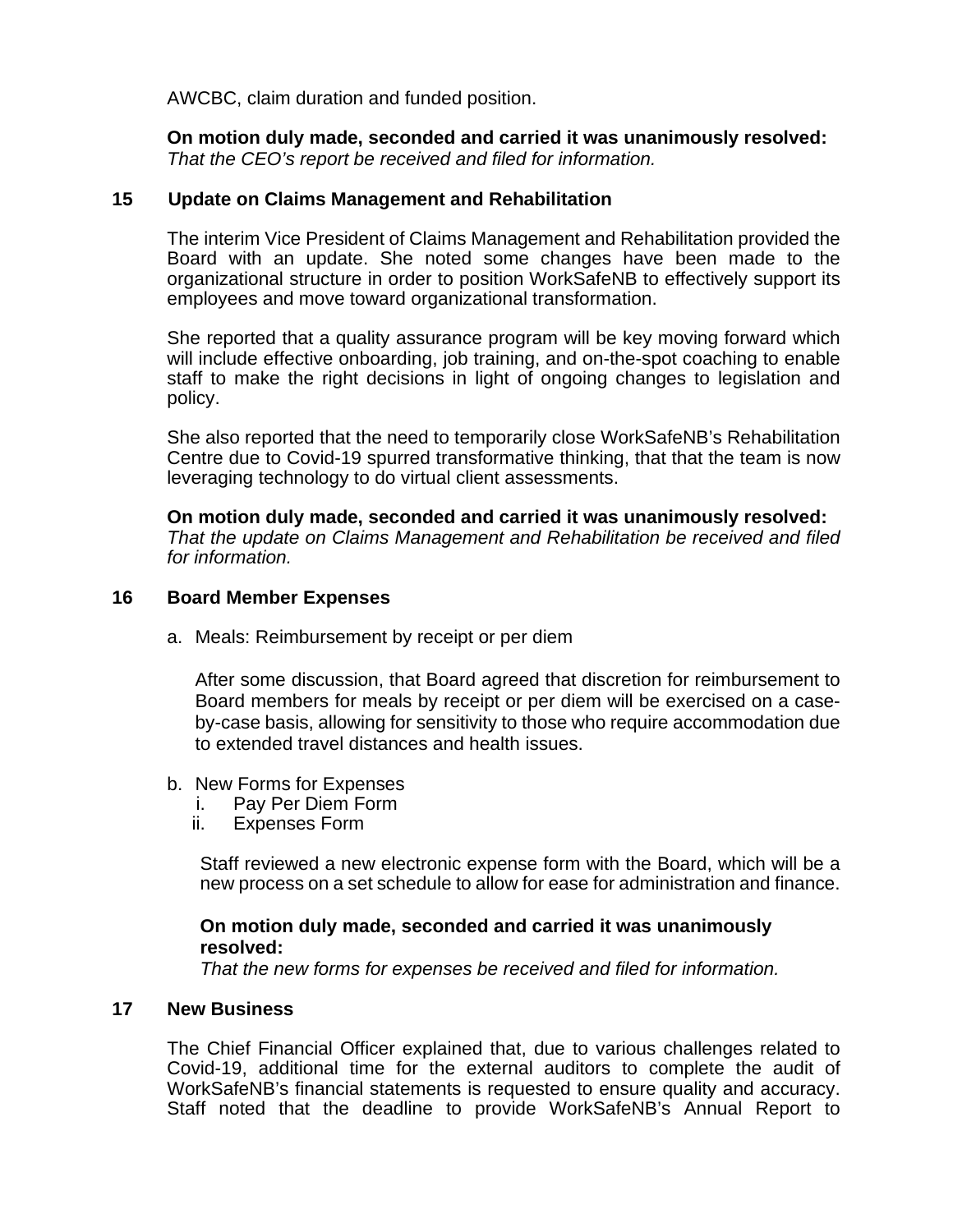AWCBC, claim duration and funded position.

**On motion duly made, seconded and carried it was unanimously resolved:** *That the CEO's report be received and filed for information.*

# **15 Update on Claims Management and Rehabilitation**

The interim Vice President of Claims Management and Rehabilitation provided the Board with an update. She noted some changes have been made to the organizational structure in order to position WorkSafeNB to effectively support its employees and move toward organizational transformation.

She reported that a quality assurance program will be key moving forward which will include effective onboarding, job training, and on-the-spot coaching to enable staff to make the right decisions in light of ongoing changes to legislation and policy.

She also reported that the need to temporarily close WorkSafeNB's Rehabilitation Centre due to Covid-19 spurred transformative thinking, that that the team is now leveraging technology to do virtual client assessments.

**On motion duly made, seconded and carried it was unanimously resolved:** *That the update on Claims Management and Rehabilitation be received and filed for information.*

### **16 Board Member Expenses**

a. Meals: Reimbursement by receipt or per diem

After some discussion, that Board agreed that discretion for reimbursement to Board members for meals by receipt or per diem will be exercised on a caseby-case basis, allowing for sensitivity to those who require accommodation due to extended travel distances and health issues.

- b. New Forms for Expenses<br>i. Pay Per Diem Form
	- Pay Per Diem Form
	- ii. Expenses Form

Staff reviewed a new electronic expense form with the Board, which will be a new process on a set schedule to allow for ease for administration and finance.

# **On motion duly made, seconded and carried it was unanimously resolved:**

*That the new forms for expenses be received and filed for information.*

### **17 New Business**

The Chief Financial Officer explained that, due to various challenges related to Covid-19, additional time for the external auditors to complete the audit of WorkSafeNB's financial statements is requested to ensure quality and accuracy. Staff noted that the deadline to provide WorkSafeNB's Annual Report to